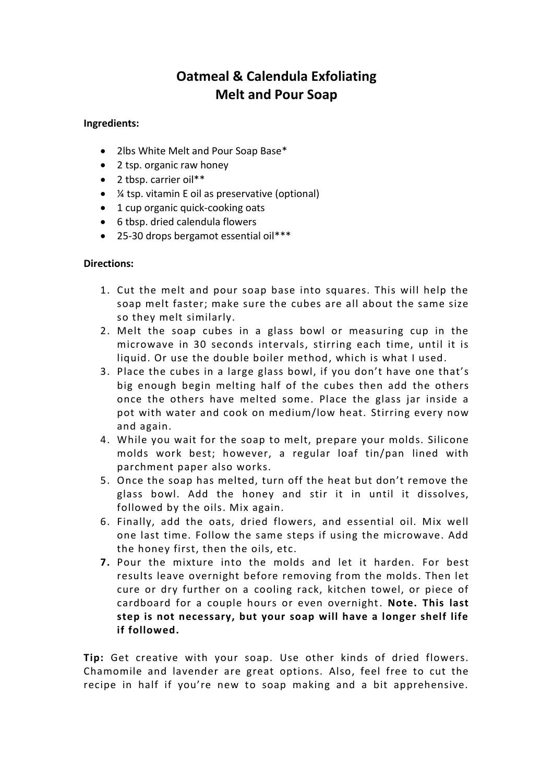## **Oatmeal & Calendula Exfoliating Melt and Pour Soap**

## **Ingredients:**

- 2lbs White Melt and Pour Soap Base\*
- 2 tsp. organic raw honey
- 2 tbsp. carrier oil\*\*
- ¼ tsp. vitamin E oil as preservative (optional)
- 1 cup organic quick-cooking oats
- 6 tbsp. dried calendula flowers
- 25-30 drops bergamot essential oil\*\*\*

## **Directions:**

- 1. Cut the melt and pour soap base into squares. This will help the soap melt faster; make sure the cubes are all about the same size so they melt similarly.
- 2. Melt the soap cubes in a glass bowl or measuring cup in the microwave in 30 seconds intervals, stirring each time, until it is liquid. Or use the double boiler method, which is what I used.
- 3. Place the cubes in a large glass bowl, if you don't have one that's big enough begin melting half of the cubes then add the others once the others have melted some. Place the glass jar inside a pot with water and cook on medium/low heat. Stirring every now and again.
- 4. While you wait for the soap to melt, prepare your molds. Silicone molds work best; however, a regular loaf tin/pan lined with parchment paper also works.
- 5. Once the soap has melted, turn off the heat but don't remove the glass bowl. Add the honey and stir it in until it dissolves, followed by the oils. Mix again.
- 6. Finally, add the oats, dried flowers, and essential oil. Mix well one last time. Follow the same steps if using the microwave. Add the honey first, then the oils, etc.
- **7.** Pour the mixture into the molds and let it harden. For best results leave overnight before removing from the molds. Then let cure or dry further on a cooling rack, kitchen towel, or piece of cardboard for a couple hours or even overnight. **Note. This last step is not necessary, but your soap will have a longer shelf life if followed.**

**Tip:** Get creative with your soap. Use other kinds of dried flowers. Chamomile and lavender are great options. Also, feel free to cut the recipe in half if you're new to soap making and a bit apprehensive.